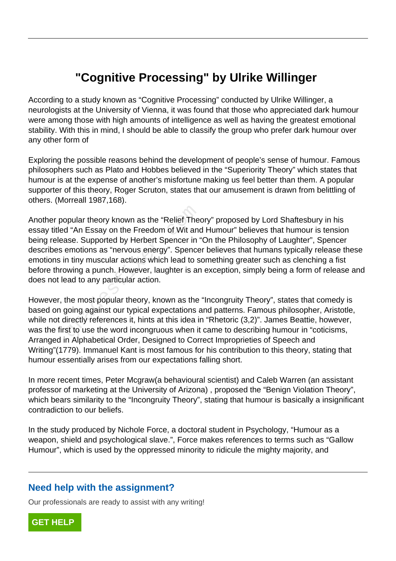## **"Cognitive Processing" by Ulrike Willinger**

According to a study known as "Cognitive Processing" conducted by Ulrike Willinger, a neurologists at the University of Vienna, it was found that those who appreciated dark humour were among those with high amounts of intelligence as well as having the greatest emotional stability. With this in mind, I should be able to classify the group who prefer dark humour over any other form of

Exploring the possible reasons behind the development of people's sense of humour. Famous philosophers such as Plato and Hobbes believed in the "Superiority Theory" which states that humour is at the expense of another's misfortune making us feel better than them. A popular supporter of this theory, Roger Scruton, states that our amusement is drawn from belittling of others. (Morreall 1987,168).

Another popular theory known as the "Relief Theory" proposed by Lord Shaftesbury in his essay titled "An Essay on the Freedom of Wit and Humour" believes that humour is tension being release. Supported by Herbert Spencer in "On the Philosophy of Laughter", Spencer describes emotions as "nervous energy". Spencer believes that humans typically release these emotions in tiny muscular actions which lead to something greater such as clenching a fist before throwing a punch. However, laughter is an exception, simply being a form of release and does not lead to any particular action. ppular theory known as the "Relief The<br>d "An Essay on the Freedom of Wit and<br>ase. Supported by Herbert Spencer in "<br>emotions as "nervous energy". Spence<br>n tiny muscular actions which lead to s<br>wing a punch. However, laught

However, the most popular theory, known as the "Incongruity Theory", states that comedy is based on going against our typical expectations and patterns. Famous philosopher, Aristotle, while not directly references it, hints at this idea in "Rhetoric (3,2)". James Beattie, however, was the first to use the word incongruous when it came to describing humour in "coticisms, Arranged in Alphabetical Order, Designed to Correct Improprieties of Speech and Writing"(1779). Immanuel Kant is most famous for his contribution to this theory, stating that humour essentially arises from our expectations falling short.

In more recent times, Peter Mcgraw(a behavioural scientist) and Caleb Warren (an assistant professor of marketing at the University of Arizona) , proposed the "Benign Violation Theory", which bears similarity to the "Incongruity Theory", stating that humour is basically a insignificant contradiction to our beliefs.

In the study produced by Nichole Force, a doctoral student in Psychology, "Humour as a weapon, shield and psychological slave.", Force makes references to terms such as "Gallow Humour", which is used by the oppressed minority to ridicule the mighty majority, and

## **Need help with the assignment?**

Our professionals are ready to assist with any writing!